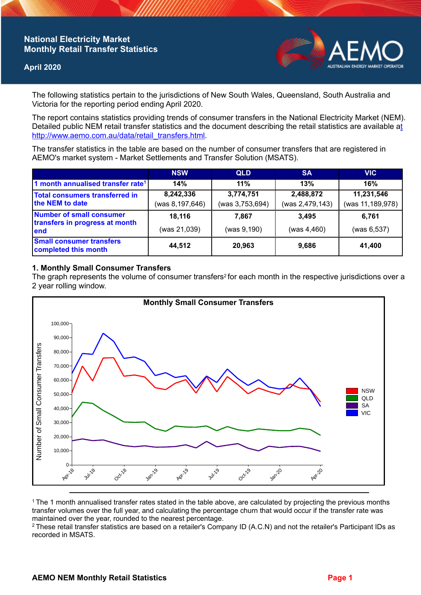# **National Electricity Market Monthly Retail Transfer Statistics**

### **April 2020**



The following statistics pertain to the jurisdictions of New South Wales, Queensland, South Australia and Victoria for the reporting period ending April 2020.

The report contains statistics providing trends of consumer transfers in the National Electricity Market (NEM). Detailed public NEM retail transfer statistics and the document describing the retail statistics are available a[t](http://www.aemo.com.au/data/retail_transfers.html)  http://www.aemo.com.au/data/retail\_transfers.html

The transfer statistics in the table are based on the number of consumer transfers that are registered in AEMO's market system - Market Settlements and Transfer Solution (MSATS).

|                                                                    | <b>NSW</b>                     | <b>QLD</b>                   | <b>SA</b>                    | <b>VIC</b>                     |
|--------------------------------------------------------------------|--------------------------------|------------------------------|------------------------------|--------------------------------|
| 1 month annualised transfer rate <sup>1</sup>                      | 14%                            | 11%                          | 13%                          | 16%                            |
| Total consumers transferred in<br>the NEM to date                  | 8,242,336<br>(was 8, 197, 646) | 3,774,751<br>(was 3,753,694) | 2,488,872<br>(was 2,479,143) | 11,231,546<br>(was 11,189,978) |
| Number of small consumer<br>transfers in progress at month<br>lend | 18,116<br>(was 21,039)         | 7.867<br>(was 9,190)         | 3.495<br>(was 4,460)         | 6,761<br>(was 6, 537)          |
| <b>Small consumer transfers</b><br>completed this month            | 44,512                         | 20,963                       | 9,686                        | 41,400                         |

#### **1. Monthly Small Consumer Transfers**

The graph represents the volume of consumer transfers<sup>2</sup> for each month in the respective jurisdictions over a 2 year rolling window.



<sup>1</sup>The 1 month annualised transfer rates stated in the table above, are calculated by projecting the previous months transfer volumes over the full year, and calculating the percentage churn that would occur if the transfer rate was maintained over the year, rounded to the nearest percentage.

<sup>2</sup> These retail transfer statistics are based on a retailer's Company ID (A.C.N) and not the retailer's Participant IDs as recorded in MSATS.